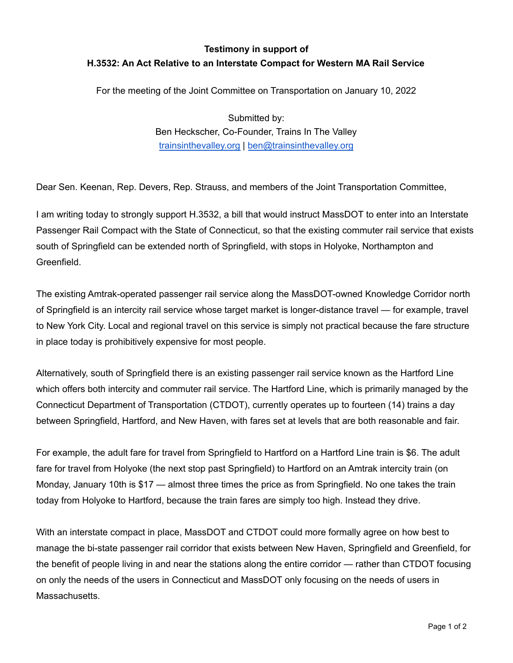## **Testimony in support of H.3532: An Act Relative to an Interstate Compact for Western MA Rail Service**

For the meeting of the Joint Committee on Transportation on January 10, 2022

Submitted by: Ben Heckscher, Co-Founder, Trains In The Valley [trainsinthevalley.org](https://trainsinthevalley.org/) | [ben@trainsinthevalley.org](mailto:ben@trainsinthevalley.org)

Dear Sen. Keenan, Rep. Devers, Rep. Strauss, and members of the Joint Transportation Committee,

I am writing today to strongly support H.3532, a bill that would instruct MassDOT to enter into an Interstate Passenger Rail Compact with the State of Connecticut, so that the existing commuter rail service that exists south of Springfield can be extended north of Springfield, with stops in Holyoke, Northampton and Greenfield.

The existing Amtrak-operated passenger rail service along the MassDOT-owned Knowledge Corridor north of Springfield is an intercity rail service whose target market is longer-distance travel — for example, travel to New York City. Local and regional travel on this service is simply not practical because the fare structure in place today is prohibitively expensive for most people.

Alternatively, south of Springfield there is an existing passenger rail service known as the Hartford Line which offers both intercity and commuter rail service. The Hartford Line, which is primarily managed by the Connecticut Department of Transportation (CTDOT), currently operates up to fourteen (14) trains a day between Springfield, Hartford, and New Haven, with fares set at levels that are both reasonable and fair.

For example, the adult fare for travel from Springfield to Hartford on a Hartford Line train is \$6. The adult fare for travel from Holyoke (the next stop past Springfield) to Hartford on an Amtrak intercity train (on Monday, January 10th is \$17 — almost three times the price as from Springfield. No one takes the train today from Holyoke to Hartford, because the train fares are simply too high. Instead they drive.

With an interstate compact in place, MassDOT and CTDOT could more formally agree on how best to manage the bi-state passenger rail corridor that exists between New Haven, Springfield and Greenfield, for the benefit of people living in and near the stations along the entire corridor — rather than CTDOT focusing on only the needs of the users in Connecticut and MassDOT only focusing on the needs of users in Massachusetts.